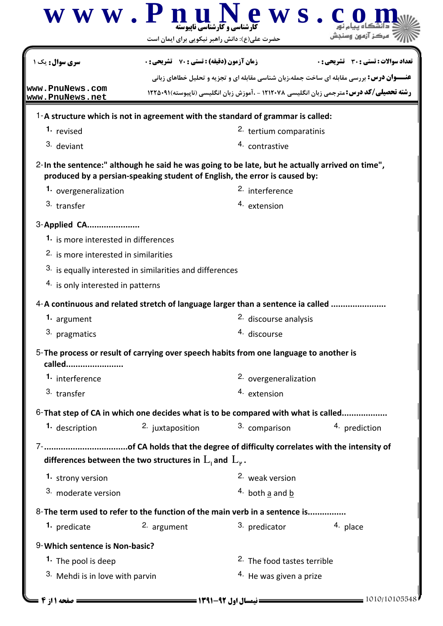|                                                                                                  | حضرت علی(ع): دانش راهبر نیکویی برای ایمان است                              |                                        |                                                                                                  |
|--------------------------------------------------------------------------------------------------|----------------------------------------------------------------------------|----------------------------------------|--------------------------------------------------------------------------------------------------|
| <b>سری سوال :</b> یک ۱                                                                           | <b>زمان آزمون (دقیقه) : تستی : 70 ٪ تشریحی : 0</b>                         |                                        | تعداد سوالات : تستي : 30 ٪ تشريحي : 0                                                            |
|                                                                                                  |                                                                            |                                        | <b>عنـــوان درس:</b> بررسی مقابله ای ساخت جمله،زبان شناسی مقابله ای و تجزیه و تحلیل خطاهای زبانی |
| www.PnuNews.com<br>www.PnuNews.net                                                               |                                                                            |                                        | <b>رشته تحصیلی/کد درس:</b> مترجمی زبان انگلیسی ۱۲۱۲۰۷۸ - ،آموزش زبان انگلیسی (ناپیوسته)۱۲۲۵۰۹۱   |
| 1-A structure which is not in agreement with the standard of grammar is called:                  |                                                                            |                                        |                                                                                                  |
| 1. revised                                                                                       |                                                                            | 2. tertium comparatinis                |                                                                                                  |
| 3. deviant                                                                                       |                                                                            | 4. contrastive                         |                                                                                                  |
| 2-In the sentence:" although he said he was going to be late, but he actually arrived on time",  | produced by a persian-speaking student of English, the error is caused by: |                                        |                                                                                                  |
| 1. overgeneralization                                                                            |                                                                            | <sup>2.</sup> interference             |                                                                                                  |
| 3. transfer                                                                                      |                                                                            | 4. extension                           |                                                                                                  |
| 3-Applied CA                                                                                     |                                                                            |                                        |                                                                                                  |
| 1. is more interested in differences                                                             |                                                                            |                                        |                                                                                                  |
| 2. is more interested in similarities                                                            |                                                                            |                                        |                                                                                                  |
|                                                                                                  | <sup>3.</sup> is equally interested in similarities and differences        |                                        |                                                                                                  |
| 4. is only interested in patterns                                                                |                                                                            |                                        |                                                                                                  |
| 4-A continuous and related stretch of language larger than a sentence ia called                  |                                                                            |                                        |                                                                                                  |
| 1. argument                                                                                      |                                                                            | <sup>2.</sup> discourse analysis       |                                                                                                  |
| 3. pragmatics                                                                                    |                                                                            | 4. discourse                           |                                                                                                  |
| 5-The process or result of carrying over speech habits from one language to another is<br>called |                                                                            |                                        |                                                                                                  |
| 1. interference                                                                                  |                                                                            | 2. overgeneralization                  |                                                                                                  |
| 3. transfer                                                                                      |                                                                            | 4. extension                           |                                                                                                  |
| 6- That step of CA in which one decides what is to be compared with what is called               |                                                                            |                                        |                                                                                                  |
| 1. description                                                                                   | <sup>2.</sup> juxtaposition                                                | 3. comparison                          | 4. prediction                                                                                    |
|                                                                                                  |                                                                            |                                        |                                                                                                  |
|                                                                                                  | differences between the two structures in $L_1$ and $L_2$ .                |                                        |                                                                                                  |
| 1. strony version                                                                                |                                                                            | 2. weak version                        |                                                                                                  |
| 3. moderate version                                                                              |                                                                            | $4.$ both a and b                      |                                                                                                  |
| 8- The term used to refer to the function of the main verb in a sentence is                      |                                                                            |                                        |                                                                                                  |
| 1. predicate                                                                                     | 2. argument                                                                | 3. predicator                          | 4. place                                                                                         |
| 9-Which sentence is Non-basic?                                                                   |                                                                            |                                        |                                                                                                  |
| 1. The pool is deep                                                                              |                                                                            | <sup>2.</sup> The food tastes terrible |                                                                                                  |
| 3. Mehdi is in love with parvin                                                                  |                                                                            |                                        |                                                                                                  |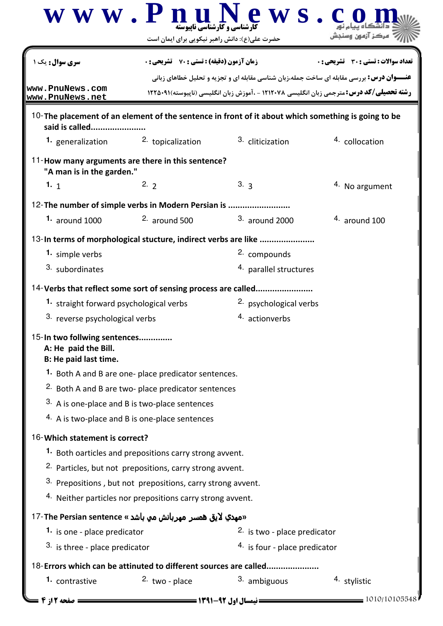|                                                                                                                      | $\bf W \;\bf W \;\bf W$ . $\bf P \;\bf n$ ارشناسی و کار شناسی ناپیوسته<br>حضرت علی(ع): دانش راهبر نیکویی برای ایمان است                                                                            | e w s                         |                                       |
|----------------------------------------------------------------------------------------------------------------------|----------------------------------------------------------------------------------------------------------------------------------------------------------------------------------------------------|-------------------------------|---------------------------------------|
| <b>سری سوال :</b> یک ۱                                                                                               | <b>زمان آزمون (دقیقه) : تستی : 70 ٪ تشریحی: 0</b>                                                                                                                                                  |                               | تعداد سوالات : تستي : 30 ٪ تشريحي : 0 |
| www.PnuNews.com<br>www.PnuNews.net                                                                                   | <b>عنـــوان درس:</b> بررسی مقابله ای ساخت جمله،زبان شناسی مقابله ای و تجزیه و تحلیل خطاهای زبانی<br><b>رشته تحصیلی/کد درس:</b> مترجمی زبان انگلیسی ۱۲۱۲۰۷۸ - ،آموزش زبان انگلیسی (ناپیوسته)۱۲۲۵۰۹۱ |                               |                                       |
| 10-The placement of an element of the sentence in front of it about which something is going to be<br>said is called |                                                                                                                                                                                                    |                               |                                       |
| 1. generalization                                                                                                    | 2. topicalization                                                                                                                                                                                  | 3. cliticization              | 4. collocation                        |
| 11-How many arguments are there in this sentence?<br>"A man is in the garden."                                       |                                                                                                                                                                                                    |                               |                                       |
| 1. $1\frac{1}{1}$                                                                                                    | 2.2                                                                                                                                                                                                | 3.3                           | <sup>4</sup> . No argument            |
| 12-The number of simple verbs in Modern Persian is                                                                   |                                                                                                                                                                                                    |                               |                                       |
| 1. around $1000$                                                                                                     | $2.$ around 500                                                                                                                                                                                    | $3.$ around 2000              | $4.$ around 100                       |
| 13-In terms of morphological stucture, indirect verbs are like                                                       |                                                                                                                                                                                                    |                               |                                       |
| 1. simple verbs                                                                                                      |                                                                                                                                                                                                    | 2. compounds                  |                                       |
| 3. subordinates                                                                                                      |                                                                                                                                                                                                    | 4. parallel structures        |                                       |
| 14-Verbs that reflect some sort of sensing process are called                                                        |                                                                                                                                                                                                    |                               |                                       |
| 1. straight forward psychological verbs                                                                              |                                                                                                                                                                                                    | 2. psychological verbs        |                                       |
| <sup>3.</sup> reverse psychological verbs                                                                            |                                                                                                                                                                                                    | 4. actionverbs                |                                       |
| 15-In two follwing sentences<br>A: He paid the Bill.<br>B: He paid last time.                                        |                                                                                                                                                                                                    |                               |                                       |
|                                                                                                                      | 1. Both A and B are one- place predicator sentences.                                                                                                                                               |                               |                                       |
|                                                                                                                      | <sup>2.</sup> Both A and B are two- place predicator sentences                                                                                                                                     |                               |                                       |
|                                                                                                                      | 3. A is one-place and B is two-place sentences                                                                                                                                                     |                               |                                       |
|                                                                                                                      | 4. A is two-place and B is one-place sentences                                                                                                                                                     |                               |                                       |
| 16-Which statement is correct?                                                                                       |                                                                                                                                                                                                    |                               |                                       |
|                                                                                                                      | <sup>1.</sup> Both oarticles and prepositions carry strong avvent.                                                                                                                                 |                               |                                       |
|                                                                                                                      | <sup>2.</sup> Particles, but not prepositions, carry strong avvent.                                                                                                                                |                               |                                       |
|                                                                                                                      | 3. Prepositions, but not prepositions, carry strong avvent.                                                                                                                                        |                               |                                       |
|                                                                                                                      | 4. Neither particles nor prepositions carry strong avvent.                                                                                                                                         |                               |                                       |
| «مهدي لايق همسر مهربانش مي باشد » The Persian sentence?                                                              |                                                                                                                                                                                                    |                               |                                       |
| 1. is one - place predicator                                                                                         |                                                                                                                                                                                                    | 2. is two - place predicator  |                                       |
| 3. is three - place predicator                                                                                       |                                                                                                                                                                                                    | 4. is four - place predicator |                                       |
| 18-Errors which can be attinuted to different sources are called                                                     |                                                                                                                                                                                                    |                               |                                       |
| 1. contrastive                                                                                                       | $2.$ two - place                                                                                                                                                                                   | 3. ambiguous                  | 4. stylistic                          |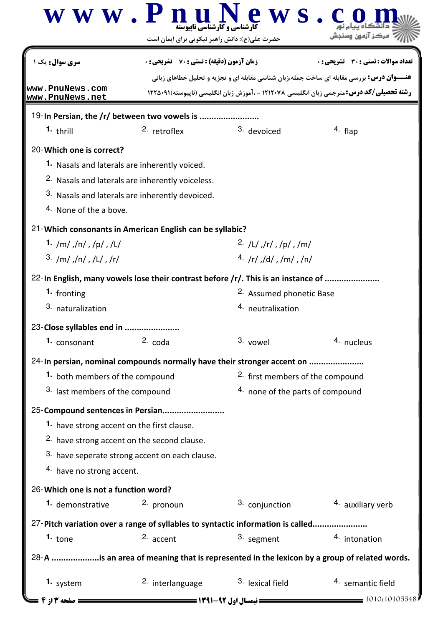|                                                          | www.Pnul<br><b>گارشناسی و کارشناسی ناپیوسته</b><br>حضرت علی(ع): دانش راهبر نیکویی برای ایمان است             | ews.                     |                                                                                                                                                                                                                                             |  |
|----------------------------------------------------------|--------------------------------------------------------------------------------------------------------------|--------------------------|---------------------------------------------------------------------------------------------------------------------------------------------------------------------------------------------------------------------------------------------|--|
| سری سوال : یک<br>www.PnuNews.com                         | <b>زمان آزمون (دقیقه) : تستی : 70 ٪ تشریحی: 0</b>                                                            |                          | تعداد سوالات : تستي : 30 - تشريحي : 0<br><b>عنـــوان درس:</b> بررسی مقابله ای ساخت جمله،زبان شناسی مقابله ای و تجزیه و تحلیل خطاهای زبانی<br><b>رشته تحصیلی/کد درس:</b> مترجمی زبان انگلیسی ۱۲۱۲۰۷۸ - ،آموزش زبان انگلیسی (ناپیوسته)۹۱-۱۲۲۵ |  |
| www.PnuNews.net                                          |                                                                                                              |                          |                                                                                                                                                                                                                                             |  |
| $1.$ thrill                                              | 19-In Persian, the /r/ between two vowels is<br><sup>2.</sup> retroflex                                      | 3. devoiced              | <sup>4.</sup> flap                                                                                                                                                                                                                          |  |
|                                                          |                                                                                                              |                          |                                                                                                                                                                                                                                             |  |
| 20-Which one is correct?                                 |                                                                                                              |                          |                                                                                                                                                                                                                                             |  |
|                                                          | 1. Nasals and laterals are inherently voiced.<br><sup>2.</sup> Nasals and laterals are inherently voiceless. |                          |                                                                                                                                                                                                                                             |  |
|                                                          | 3. Nasals and laterals are inherently devoiced.                                                              |                          |                                                                                                                                                                                                                                             |  |
| 4. None of the a bove.                                   |                                                                                                              |                          |                                                                                                                                                                                                                                             |  |
|                                                          |                                                                                                              |                          |                                                                                                                                                                                                                                             |  |
| 1. /m/ ,/n/ ,/p/ ,/L/                                    | 21-Which consonants in American English can be syllabic?                                                     | 2. /L/ /r / /p / p / m/  |                                                                                                                                                                                                                                             |  |
| $3.$ /m/,/n/,/L/,/r/                                     |                                                                                                              | 4. /r / Jd / Jm / m/     |                                                                                                                                                                                                                                             |  |
|                                                          |                                                                                                              |                          |                                                                                                                                                                                                                                             |  |
| 1. fronting                                              | 22-In English, many vowels lose their contrast before /r/. This is an instance of                            | 2. Assumed phonetic Base |                                                                                                                                                                                                                                             |  |
| 3. naturalization                                        |                                                                                                              | 4. neutralixation        |                                                                                                                                                                                                                                             |  |
|                                                          |                                                                                                              |                          |                                                                                                                                                                                                                                             |  |
| 23-Close syllables end in<br>1. consonant                | $2. \text{code}$                                                                                             | 3. vowel                 | 4. nucleus                                                                                                                                                                                                                                  |  |
|                                                          |                                                                                                              |                          |                                                                                                                                                                                                                                             |  |
|                                                          | 24-In persian, nominal compounds normally have their stronger accent on                                      |                          |                                                                                                                                                                                                                                             |  |
|                                                          | 1. both members of the compound<br>3. last members of the compound                                           |                          | <sup>2.</sup> first members of the compound<br>4. none of the parts of compound                                                                                                                                                             |  |
|                                                          |                                                                                                              |                          |                                                                                                                                                                                                                                             |  |
|                                                          | 25-Compound sentences in Persian                                                                             |                          |                                                                                                                                                                                                                                             |  |
| 1. have strong accent on the first clause.               | <sup>2.</sup> have strong accent on the second clause.                                                       |                          |                                                                                                                                                                                                                                             |  |
|                                                          | 3. have seperate strong accent on each clause.                                                               |                          |                                                                                                                                                                                                                                             |  |
| 4. have no strong accent.                                |                                                                                                              |                          |                                                                                                                                                                                                                                             |  |
|                                                          |                                                                                                              |                          |                                                                                                                                                                                                                                             |  |
| 26-Which one is not a function word?<br>1. demonstrative | 2. pronoun                                                                                                   | 3. conjunction           | 4. auxiliary verb                                                                                                                                                                                                                           |  |
|                                                          |                                                                                                              |                          |                                                                                                                                                                                                                                             |  |
| 1. $_{\text{tone}}$                                      | 27-Pitch variation over a range of syllables to syntactic information is called<br>2. accent                 | 3. segment               | 4. intonation                                                                                                                                                                                                                               |  |
|                                                          |                                                                                                              |                          |                                                                                                                                                                                                                                             |  |
|                                                          |                                                                                                              |                          | 28-A is an area of meaning that is represented in the lexicon by a group of related words.                                                                                                                                                  |  |
| 1. system                                                | <sup>2.</sup> interlanguage                                                                                  | 3. lexical field         | <sup>4</sup> semantic field                                                                                                                                                                                                                 |  |
| صفحه 13 ; 4                                              | ــــــــــ نیمسال اول ۹۲- <b>۱۳۹۱ ـــــــــــــــــ</b>                                                      |                          | $-$ 1010/10105548                                                                                                                                                                                                                           |  |